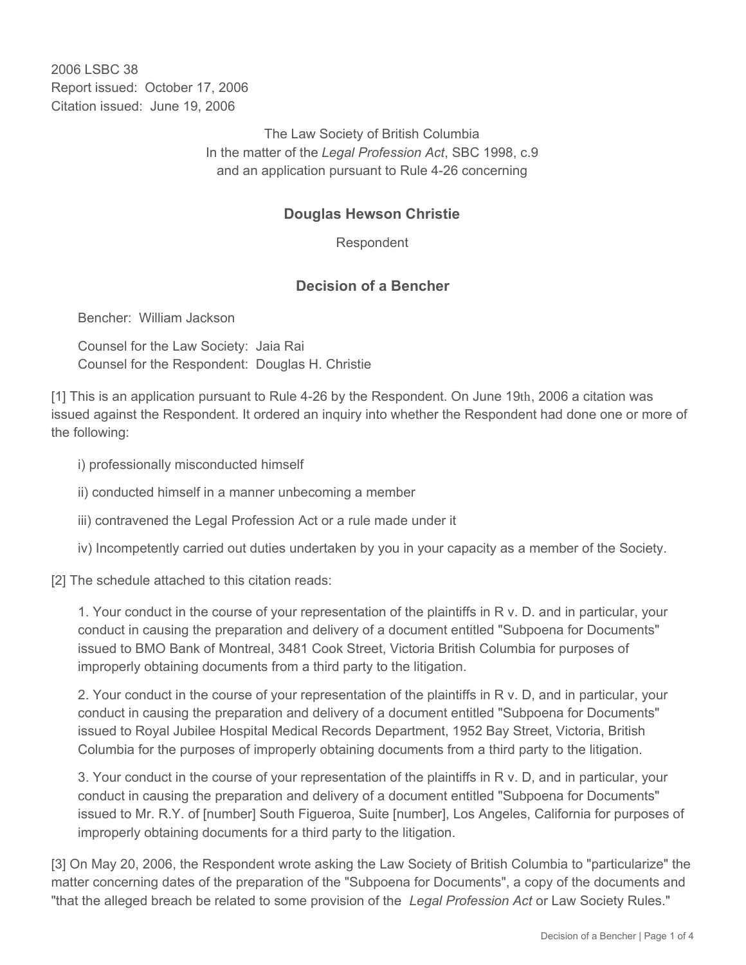2006 LSBC 38 Report issued: October 17, 2006 Citation issued: June 19, 2006

> The Law Society of British Columbia In the matter of the *Legal Profession Act*, SBC 1998, c.9 and an application pursuant to Rule 4-26 concerning

## **Douglas Hewson Christie**

Respondent

## **Decision of a Bencher**

Bencher: William Jackson

Counsel for the Law Society: Jaia Rai Counsel for the Respondent: Douglas H. Christie

[1] This is an application pursuant to Rule 4-26 by the Respondent. On June 19th, 2006 a citation was issued against the Respondent. It ordered an inquiry into whether the Respondent had done one or more of the following:

i) professionally misconducted himself

ii) conducted himself in a manner unbecoming a member

iii) contravened the Legal Profession Act or a rule made under it

iv) Incompetently carried out duties undertaken by you in your capacity as a member of the Society.

[2] The schedule attached to this citation reads:

1. Your conduct in the course of your representation of the plaintiffs in R v. D. and in particular, your conduct in causing the preparation and delivery of a document entitled "Subpoena for Documents" issued to BMO Bank of Montreal, 3481 Cook Street, Victoria British Columbia for purposes of improperly obtaining documents from a third party to the litigation.

2. Your conduct in the course of your representation of the plaintiffs in R v. D, and in particular, your conduct in causing the preparation and delivery of a document entitled "Subpoena for Documents" issued to Royal Jubilee Hospital Medical Records Department, 1952 Bay Street, Victoria, British Columbia for the purposes of improperly obtaining documents from a third party to the litigation.

3. Your conduct in the course of your representation of the plaintiffs in R v. D, and in particular, your conduct in causing the preparation and delivery of a document entitled "Subpoena for Documents" issued to Mr. R.Y. of [number] South Figueroa, Suite [number], Los Angeles, California for purposes of improperly obtaining documents for a third party to the litigation.

[3] On May 20, 2006, the Respondent wrote asking the Law Society of British Columbia to "particularize" the matter concerning dates of the preparation of the "Subpoena for Documents", a copy of the documents and "that the alleged breach be related to some provision of the *Legal Profession Act* or Law Society Rules."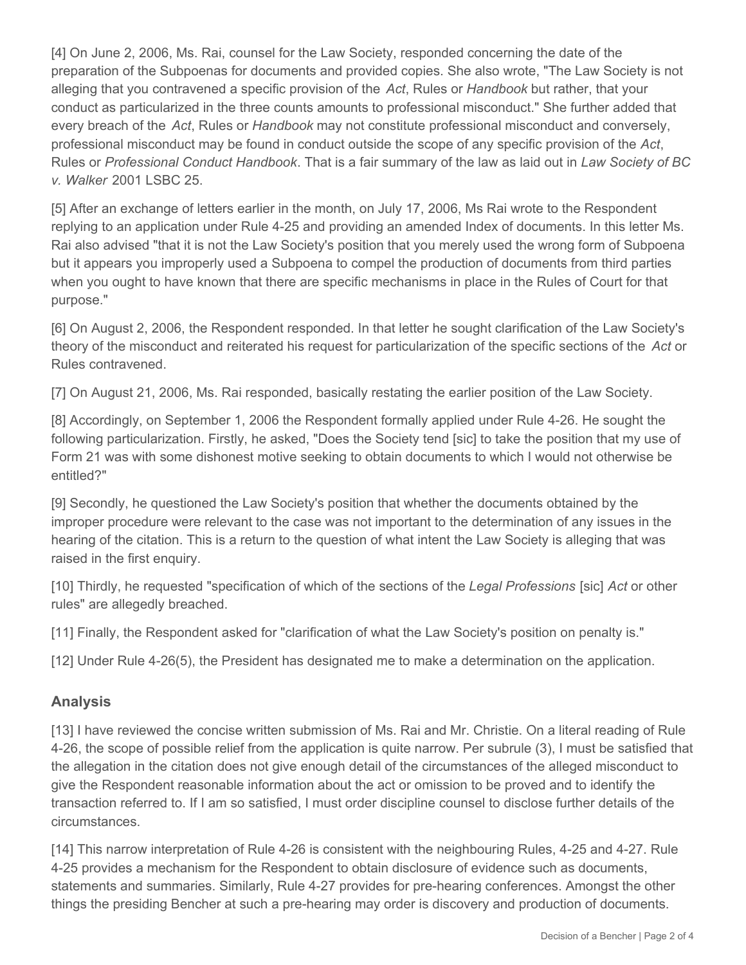[4] On June 2, 2006, Ms. Rai, counsel for the Law Society, responded concerning the date of the preparation of the Subpoenas for documents and provided copies. She also wrote, "The Law Society is not alleging that you contravened a specific provision of the *Act*, Rules or *Handbook* but rather, that your conduct as particularized in the three counts amounts to professional misconduct." She further added that every breach of the *Act*, Rules or *Handbook* may not constitute professional misconduct and conversely, professional misconduct may be found in conduct outside the scope of any specific provision of the *Act*, Rules or *Professional Conduct Handbook*. That is a fair summary of the law as laid out in *Law Society of BC v. Walker* 2001 LSBC 25.

[5] After an exchange of letters earlier in the month, on July 17, 2006, Ms Rai wrote to the Respondent replying to an application under Rule 4-25 and providing an amended Index of documents. In this letter Ms. Rai also advised "that it is not the Law Society's position that you merely used the wrong form of Subpoena but it appears you improperly used a Subpoena to compel the production of documents from third parties when you ought to have known that there are specific mechanisms in place in the Rules of Court for that purpose."

[6] On August 2, 2006, the Respondent responded. In that letter he sought clarification of the Law Society's theory of the misconduct and reiterated his request for particularization of the specific sections of the *Act* or Rules contravened.

[7] On August 21, 2006, Ms. Rai responded, basically restating the earlier position of the Law Society.

[8] Accordingly, on September 1, 2006 the Respondent formally applied under Rule 4-26. He sought the following particularization. Firstly, he asked, "Does the Society tend [sic] to take the position that my use of Form 21 was with some dishonest motive seeking to obtain documents to which I would not otherwise be entitled?"

[9] Secondly, he questioned the Law Society's position that whether the documents obtained by the improper procedure were relevant to the case was not important to the determination of any issues in the hearing of the citation. This is a return to the question of what intent the Law Society is alleging that was raised in the first enquiry.

[10] Thirdly, he requested "specification of which of the sections of the *Legal Professions* [sic] *Act* or other rules" are allegedly breached.

[11] Finally, the Respondent asked for "clarification of what the Law Society's position on penalty is."

[12] Under Rule 4-26(5), the President has designated me to make a determination on the application.

## **Analysis**

[13] I have reviewed the concise written submission of Ms. Rai and Mr. Christie. On a literal reading of Rule 4-26, the scope of possible relief from the application is quite narrow. Per subrule (3), I must be satisfied that the allegation in the citation does not give enough detail of the circumstances of the alleged misconduct to give the Respondent reasonable information about the act or omission to be proved and to identify the transaction referred to. If I am so satisfied, I must order discipline counsel to disclose further details of the circumstances.

[14] This narrow interpretation of Rule 4-26 is consistent with the neighbouring Rules, 4-25 and 4-27. Rule 4-25 provides a mechanism for the Respondent to obtain disclosure of evidence such as documents, statements and summaries. Similarly, Rule 4-27 provides for pre-hearing conferences. Amongst the other things the presiding Bencher at such a pre-hearing may order is discovery and production of documents.